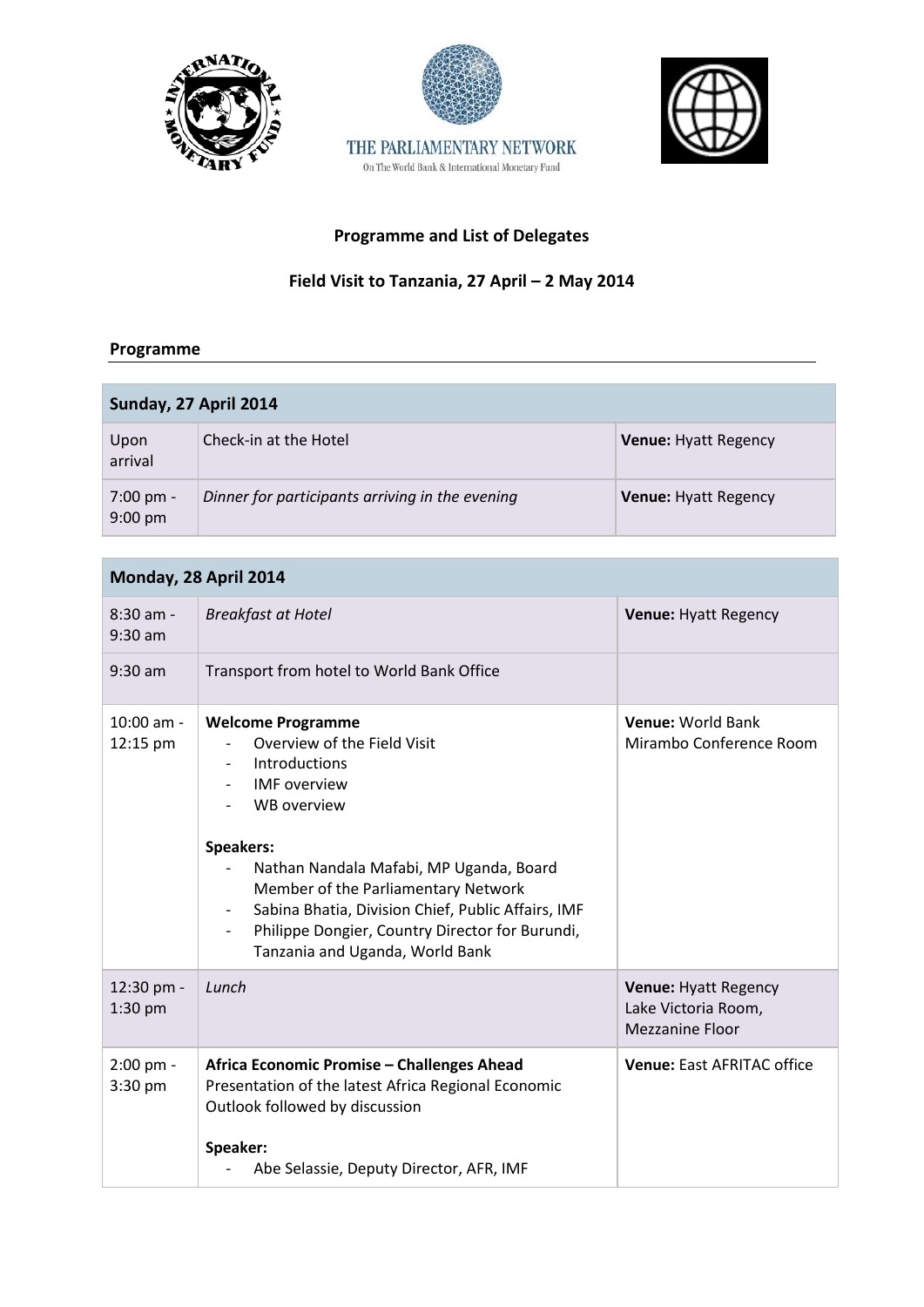





# **Programme and List of Delegates**

THE PARLIAMENTARY NETWORK On The World Bank & International Monetary Fund

### **Field Visit to Tanzania, 27 April – 2 May 2014**

#### **Programme**

| Sunday, 27 April 2014                    |                                                 |                             |
|------------------------------------------|-------------------------------------------------|-----------------------------|
| Upon<br>arrival                          | Check-in at the Hotel                           | <b>Venue: Hyatt Regency</b> |
| $7:00 \text{ pm} -$<br>$9:00 \text{ pm}$ | Dinner for participants arriving in the evening | <b>Venue: Hyatt Regency</b> |

## **Monday, 28 April 2014**

| $8:30$ am -<br>$9:30$ am | <b>Breakfast at Hotel</b>                                                                                                                                                                                                                                                                                                                                                                                                       | <b>Venue: Hyatt Regency</b>                                           |
|--------------------------|---------------------------------------------------------------------------------------------------------------------------------------------------------------------------------------------------------------------------------------------------------------------------------------------------------------------------------------------------------------------------------------------------------------------------------|-----------------------------------------------------------------------|
| $9:30$ am                | Transport from hotel to World Bank Office                                                                                                                                                                                                                                                                                                                                                                                       |                                                                       |
| $10:00$ am -<br>12:15 pm | <b>Welcome Programme</b><br>Overview of the Field Visit<br><b>Introductions</b><br><b>IMF</b> overview<br><b>WB</b> overview<br>Speakers:<br>Nathan Nandala Mafabi, MP Uganda, Board<br>Member of the Parliamentary Network<br>Sabina Bhatia, Division Chief, Public Affairs, IMF<br>$\overline{\phantom{a}}$<br>Philippe Dongier, Country Director for Burundi,<br>$\overline{\phantom{a}}$<br>Tanzania and Uganda, World Bank | <b>Venue: World Bank</b><br>Mirambo Conference Room                   |
| 12:30 pm -<br>$1:30$ pm  | Lunch                                                                                                                                                                                                                                                                                                                                                                                                                           | Venue: Hyatt Regency<br>Lake Victoria Room,<br><b>Mezzanine Floor</b> |
| 2:00 pm -<br>3:30 pm     | Africa Economic Promise - Challenges Ahead<br>Presentation of the latest Africa Regional Economic<br>Outlook followed by discussion<br>Speaker:<br>Abe Selassie, Deputy Director, AFR, IMF                                                                                                                                                                                                                                      | <b>Venue: East AFRITAC office</b>                                     |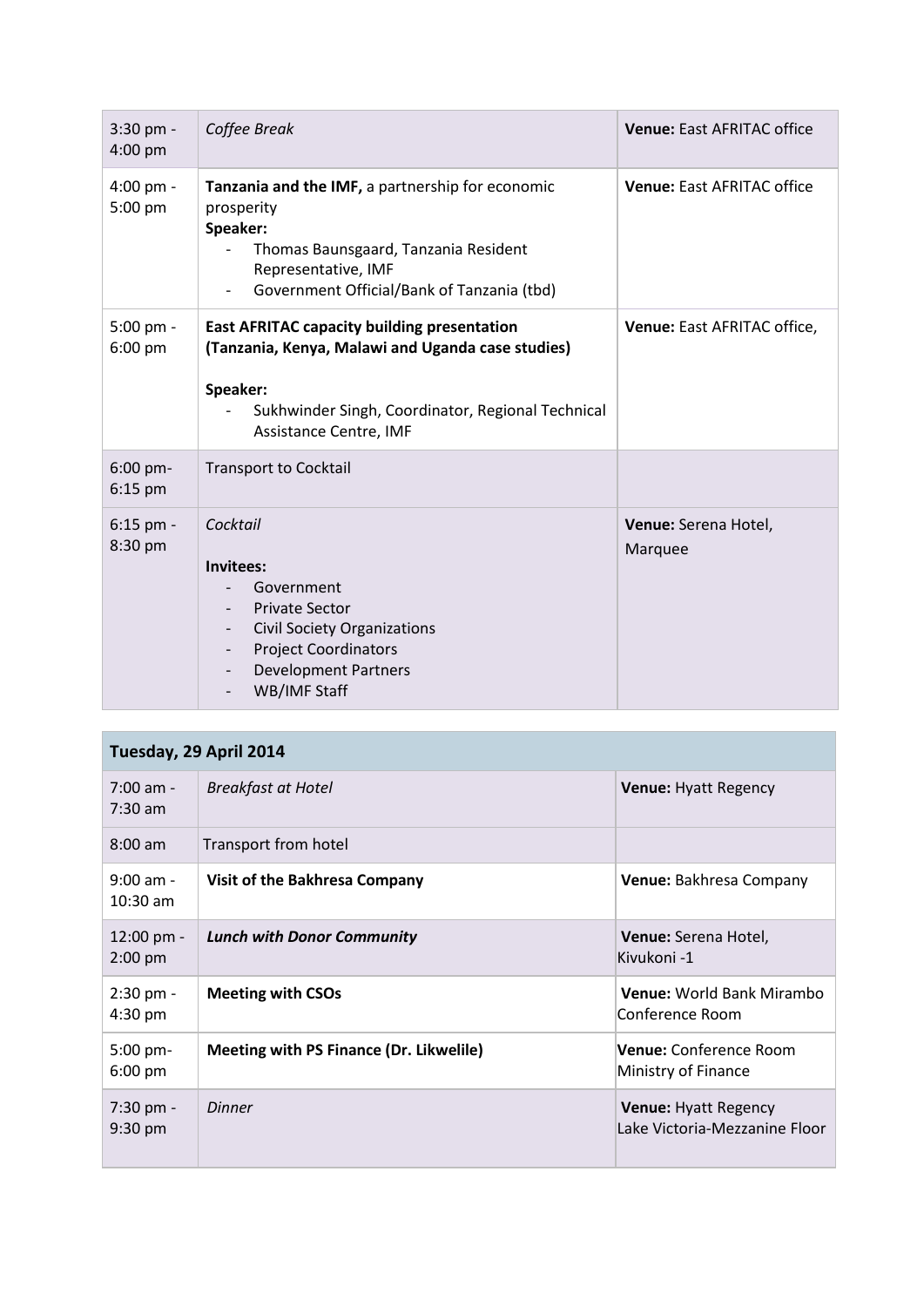| $3:30$ pm -<br>4:00 pm | Coffee Break                                                                                                                                                                                                        | <b>Venue: East AFRITAC office</b>  |
|------------------------|---------------------------------------------------------------------------------------------------------------------------------------------------------------------------------------------------------------------|------------------------------------|
| 4:00 pm -<br>5:00 pm   | Tanzania and the IMF, a partnership for economic<br>prosperity<br>Speaker:<br>Thomas Baunsgaard, Tanzania Resident<br>Representative, IMF<br>Government Official/Bank of Tanzania (tbd)<br>$\overline{\phantom{a}}$ | <b>Venue: East AFRITAC office</b>  |
| $5:00$ pm -<br>6:00 pm | <b>East AFRITAC capacity building presentation</b><br>(Tanzania, Kenya, Malawi and Uganda case studies)<br>Speaker:<br>Sukhwinder Singh, Coordinator, Regional Technical<br><b>Assistance Centre, IMF</b>           | <b>Venue: East AFRITAC office,</b> |
| 6:00 pm-<br>$6:15$ pm  | <b>Transport to Cocktail</b>                                                                                                                                                                                        |                                    |
| 6:15 pm -<br>8:30 pm   | Cocktail<br>Invitees:<br>Government<br><b>Private Sector</b><br><b>Civil Society Organizations</b><br>$\overline{\phantom{0}}$<br><b>Project Coordinators</b><br><b>Development Partners</b><br>WB/IMF Staff        | Venue: Serena Hotel,<br>Marquee    |

## **Tuesday, 29 April 2014**

| $7:00$ am -<br>$7:30$ am        | <b>Breakfast at Hotel</b>                      | <b>Venue: Hyatt Regency</b>                                  |
|---------------------------------|------------------------------------------------|--------------------------------------------------------------|
| $8:00$ am                       | Transport from hotel                           |                                                              |
| $9:00$ am -<br>$10:30$ am       | Visit of the Bakhresa Company                  | Venue: Bakhresa Company                                      |
| 12:00 pm -<br>$2:00$ pm         | <b>Lunch with Donor Community</b>              | <b>Venue:</b> Serena Hotel,<br>Kivukoni -1                   |
| $2:30$ pm -<br>$4:30$ pm        | <b>Meeting with CSOs</b>                       | <b>Venue: World Bank Mirambo</b><br>Conference Room          |
| $5:00$ pm-<br>$6:00 \text{ pm}$ | <b>Meeting with PS Finance (Dr. Likwelile)</b> | <b>Venue:</b> Conference Room<br>Ministry of Finance         |
| $7:30$ pm -<br>$9:30$ pm        | Dinner                                         | <b>Venue: Hyatt Regency</b><br>Lake Victoria-Mezzanine Floor |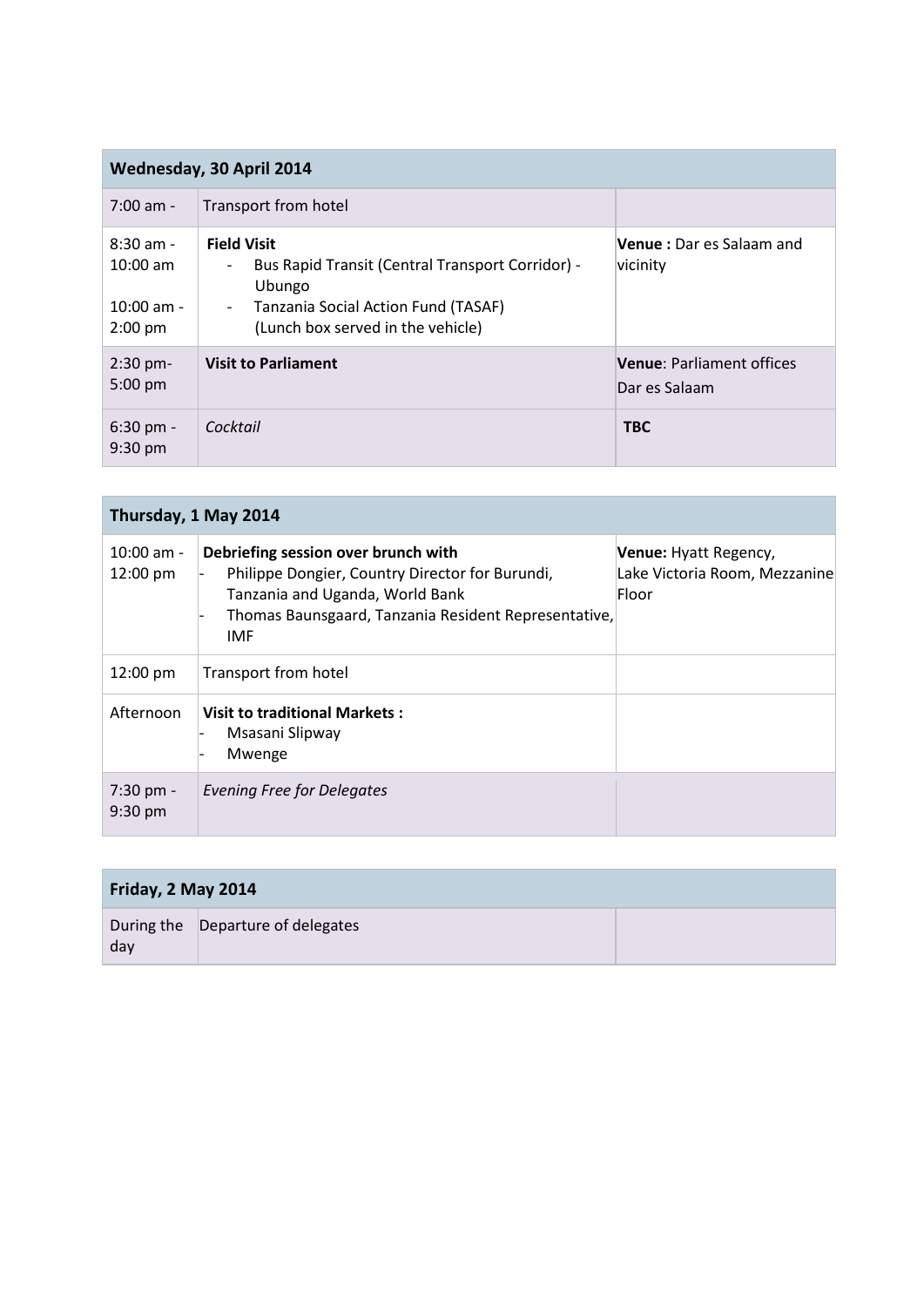| Wednesday, 30 April 2014                               |                                                                                                                                                                                                    |                                                   |
|--------------------------------------------------------|----------------------------------------------------------------------------------------------------------------------------------------------------------------------------------------------------|---------------------------------------------------|
| $7:00$ am -                                            | Transport from hotel                                                                                                                                                                               |                                                   |
| $8:30$ am -<br>$10:00$ am<br>$10:00$ am -<br>$2:00$ pm | <b>Field Visit</b><br>Bus Rapid Transit (Central Transport Corridor) -<br>$\overline{\phantom{a}}$<br>Ubungo<br>Tanzania Social Action Fund (TASAF)<br>$\sim$<br>(Lunch box served in the vehicle) | <b>Venue</b> : Dar es Salaam and<br>vicinity      |
| $2:30$ pm-<br>$5:00$ pm                                | <b>Visit to Parliament</b>                                                                                                                                                                         | <b>Venue: Parliament offices</b><br>Dar es Salaam |
| $6:30$ pm -<br>$9:30$ pm                               | Cocktail                                                                                                                                                                                           | <b>TBC</b>                                        |

| Thursday, 1 May 2014             |                                                                                                                                                                                                 |                                                                 |
|----------------------------------|-------------------------------------------------------------------------------------------------------------------------------------------------------------------------------------------------|-----------------------------------------------------------------|
| $10:00$ am -<br>12:00 pm         | Debriefing session over brunch with<br>Philippe Dongier, Country Director for Burundi,<br>Tanzania and Uganda, World Bank<br>Thomas Baunsgaard, Tanzania Resident Representative,<br><b>IMF</b> | Venue: Hyatt Regency,<br>Lake Victoria Room, Mezzanine<br>Floor |
| $12:00 \text{ pm}$               | Transport from hotel                                                                                                                                                                            |                                                                 |
| Afternoon                        | <b>Visit to traditional Markets:</b><br>Msasani Slipway<br>Mwenge                                                                                                                               |                                                                 |
| $7:30$ pm -<br>$9:30 \text{ pm}$ | Evening Free for Delegates                                                                                                                                                                      |                                                                 |

| Friday, 2 May 2014 |                                   |  |
|--------------------|-----------------------------------|--|
| day                | During the Departure of delegates |  |